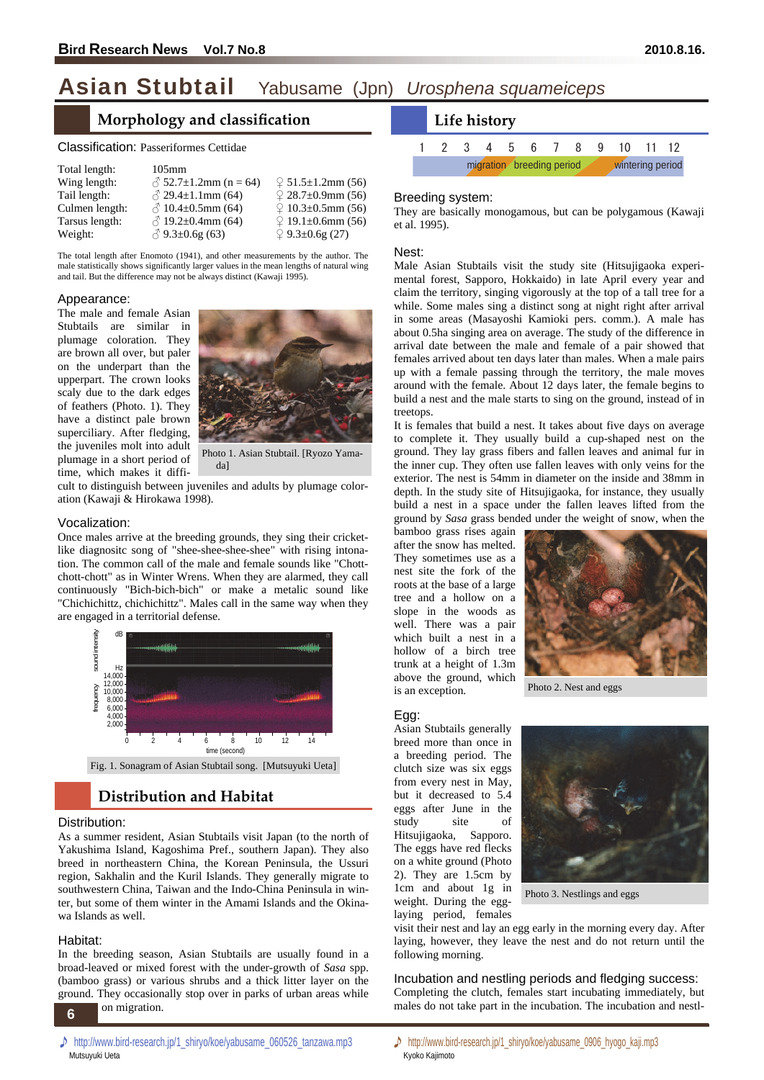# Asian Stubtail Yabusame (Jpn) *Urosphena squameiceps*

# **Morphology and classification**

| Total length:  | $105$ mm                      |                                |
|----------------|-------------------------------|--------------------------------|
| Wing length:   | $\sqrt{}$ 52.7±1.2mm (n = 64) | $9\sqrt{51.5} \pm 1.2$ mm (56) |
| Tail length:   | $\sqrt{2}$ 29.4±1.1mm (64)    | $928.7 \pm 0.9$ mm (56)        |
| Culmen length: | $\beta$ 10.4±0.5mm (64)       | $9\sqrt{10.3}$ ±0.5mm (56)     |
| Tarsus length: | $\beta$ 19.2±0.4mm (64)       | $9.1 \pm 0.6$ mm (56)          |
| Weight:        | $\circ$ 9.3±0.6g (63)         | $9.3 \pm 0.6$ g (27)           |

The total length after Enomoto (1941), and other measurements by the author. The male statistically shows significantly larger values in the mean lengths of natural wing and tail. But the difference may not be always distinct (Kawaji 1995).

#### Appearance:

The male and female Asian Stubtails are similar in plumage coloration. They are brown all over, but paler on the underpart than the upperpart. The crown looks scaly due to the dark edges of feathers (Photo. 1). They have a distinct pale brown superciliary. After fledging, the juveniles molt into adult plumage in a short period of time, which makes it diffi-



da]

cult to distinguish between juveniles and adults by plumage coloration (Kawaji & Hirokawa 1998).

#### Vocalization:

Once males arrive at the breeding grounds, they sing their cricketlike diagnositc song of "shee-shee-shee-shee" with rising intonation. The common call of the male and female sounds like "Chottchott-chott" as in Winter Wrens. When they are alarmed, they call continuously "Bich-bich-bich" or make a metalic sound like "Chichichittz, chichichittz". Males call in the same way when they are engaged in a territorial defense.



# **Distribution and Habitat**

### Distribution:

As a summer resident, Asian Stubtails visit Japan (to the north of Yakushima Island, Kagoshima Pref., southern Japan). They also breed in northeastern China, the Korean Peninsula, the Ussuri region, Sakhalin and the Kuril Islands. They generally migrate to southwestern China, Taiwan and the Indo-China Peninsula in winter, but some of them winter in the Amami Islands and the Okinawa Islands as well.

### Habitat:

**4**  In the breeding season, Asian Stubtails are usually found in a broad-leaved or mixed forest with the under-growth of *Sasa* spp. (bamboo grass) or various shrubs and a thick litter layer on the ground. They occasionally stop over in parks of urban areas while on migration.

1 2 3 4 5 6 7 8 9 10 11 12 migration breeding period wintering period **Life history**

#### Breeding system:

They are basically monogamous, but can be polygamous (Kawaji et al. 1995).

#### Nest:

Male Asian Stubtails visit the study site (Hitsujigaoka experimental forest, Sapporo, Hokkaido) in late April every year and claim the territory, singing vigorously at the top of a tall tree for a while. Some males sing a distinct song at night right after arrival in some areas (Masayoshi Kamioki pers. comm.). A male has about 0.5ha singing area on average. The study of the difference in arrival date between the male and female of a pair showed that females arrived about ten days later than males. When a male pairs up with a female passing through the territory, the male moves around with the female. About 12 days later, the female begins to build a nest and the male starts to sing on the ground, instead of in treetops.

It is females that build a nest. It takes about five days on average to complete it. They usually build a cup-shaped nest on the ground. They lay grass fibers and fallen leaves and animal fur in the inner cup. They often use fallen leaves with only veins for the exterior. The nest is 54mm in diameter on the inside and 38mm in depth. In the study site of Hitsujigaoka, for instance, they usually build a nest in a space under the fallen leaves lifted from the ground by *Sasa* grass bended under the weight of snow, when the

bamboo grass rises again after the snow has melted. They sometimes use as a nest site the fork of the roots at the base of a large tree and a hollow on a slope in the woods as well. There was a pair which built a nest in a hollow of a birch tree trunk at a height of 1.3m above the ground, which is an exception.



Photo 2. Nest and eggs

### Egg:

Asian Stubtails generally breed more than once in a breeding period. The clutch size was six eggs from every nest in May, but it decreased to 5.4 eggs after June in the study site of Hitsujigaoka, Sapporo. The eggs have red flecks on a white ground (Photo 2). They are 1.5cm by 1cm and about 1g in weight. During the egglaying period, females



Photo 3. Nestlings and eggs

visit their nest and lay an egg early in the morning every day. After laying, however, they leave the nest and do not return until the following morning.

Incubation and nestling periods and fledging success: Completing the clutch, females start incubating immediately, but males do not take part in the incubation. The incubation and nestl-